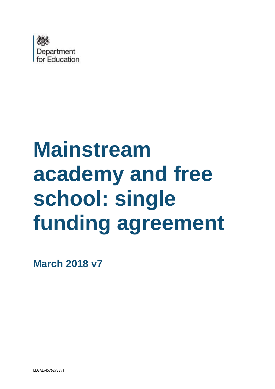

# **Mainstream academy and free school: single funding agreement**

**March 2018 v7**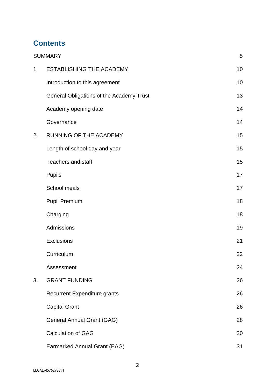# **Contents**

|             | <b>SUMMARY</b>                           | 5  |
|-------------|------------------------------------------|----|
| $\mathbf 1$ | <b>ESTABLISHING THE ACADEMY</b>          | 10 |
|             | Introduction to this agreement           | 10 |
|             | General Obligations of the Academy Trust | 13 |
|             | Academy opening date                     | 14 |
|             | Governance                               | 14 |
| 2.          | RUNNING OF THE ACADEMY                   | 15 |
|             | Length of school day and year            | 15 |
|             | <b>Teachers and staff</b>                | 15 |
|             | <b>Pupils</b>                            | 17 |
|             | School meals                             | 17 |
|             | <b>Pupil Premium</b>                     | 18 |
|             | Charging                                 | 18 |
|             | Admissions                               | 19 |
|             | Exclusions                               | 21 |
|             | Curriculum                               | 22 |
|             | Assessment                               | 24 |
| 3.          | <b>GRANT FUNDING</b>                     | 26 |
|             | <b>Recurrent Expenditure grants</b>      | 26 |
|             | <b>Capital Grant</b>                     | 26 |
|             | General Annual Grant (GAG)               | 28 |
|             | <b>Calculation of GAG</b>                | 30 |
|             | Earmarked Annual Grant (EAG)             | 31 |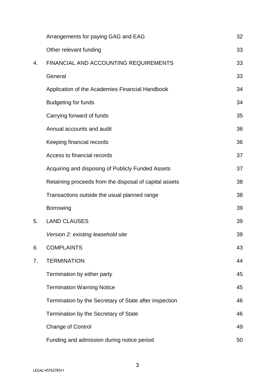|    | Arrangements for paying GAG and EAG                    | 32 |
|----|--------------------------------------------------------|----|
|    | Other relevant funding                                 | 33 |
| 4. | FINANCIAL AND ACCOUNTING REQUIREMENTS                  | 33 |
|    | General                                                | 33 |
|    | Application of the Academies Financial Handbook        | 34 |
|    | <b>Budgeting for funds</b>                             | 34 |
|    | Carrying forward of funds                              | 35 |
|    | Annual accounts and audit                              | 36 |
|    | Keeping financial records                              | 36 |
|    | Access to financial records                            | 37 |
|    | Acquiring and disposing of Publicly Funded Assets      | 37 |
|    | Retaining proceeds from the disposal of capital assets | 38 |
|    | Transactions outside the usual planned range           | 38 |
|    | <b>Borrowing</b>                                       | 39 |
| 5. | <b>LAND CLAUSES</b>                                    | 39 |
|    | Version 2: existing leasehold site                     | 39 |
| 6. | <b>COMPLAINTS</b>                                      | 43 |
| 7. | <b>TERMINATION</b>                                     | 44 |
|    | Termination by either party                            | 45 |
|    | <b>Termination Warning Notice</b>                      | 45 |
|    | Termination by the Secretary of State after inspection | 46 |
|    | Termination by the Secretary of State                  | 46 |
|    | Change of Control                                      | 49 |
|    | Funding and admission during notice period             | 50 |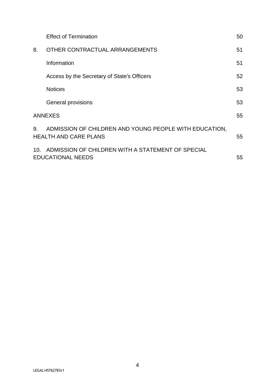|    | <b>Effect of Termination</b>                                                           | 50 |
|----|----------------------------------------------------------------------------------------|----|
| 8. | OTHER CONTRACTUAL ARRANGEMENTS                                                         | 51 |
|    | Information                                                                            | 51 |
|    | Access by the Secretary of State's Officers                                            | 52 |
|    | <b>Notices</b>                                                                         | 53 |
|    | General provisions                                                                     | 53 |
|    | <b>ANNEXES</b>                                                                         | 55 |
| 9. | ADMISSION OF CHILDREN AND YOUNG PEOPLE WITH EDUCATION,<br><b>HEALTH AND CARE PLANS</b> | 55 |
|    | 10. ADMISSION OF CHILDREN WITH A STATEMENT OF SPECIAL<br><b>EDUCATIONAL NEEDS</b>      | 55 |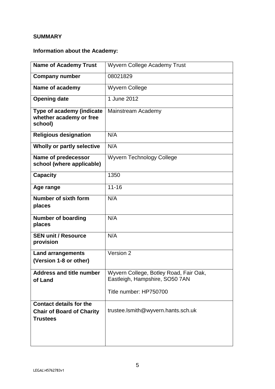# <span id="page-4-0"></span>**SUMMARY**

# **Information about the Academy:**

| <b>Name of Academy Trust</b>                                                          | <b>Wyvern College Academy Trust</b>                                      |
|---------------------------------------------------------------------------------------|--------------------------------------------------------------------------|
| <b>Company number</b>                                                                 | 08021829                                                                 |
| Name of academy                                                                       | <b>Wyvern College</b>                                                    |
| <b>Opening date</b>                                                                   | 1 June 2012                                                              |
| Type of academy (indicate<br>whether academy or free<br>school)                       | Mainstream Academy                                                       |
| <b>Religious designation</b>                                                          | N/A                                                                      |
| Wholly or partly selective                                                            | N/A                                                                      |
| Name of predecessor<br>school (where applicable)                                      | <b>Wyvern Technology College</b>                                         |
| <b>Capacity</b>                                                                       | 1350                                                                     |
| Age range                                                                             | $11 - 16$                                                                |
| Number of sixth form<br>places                                                        | N/A                                                                      |
| <b>Number of boarding</b><br>places                                                   | N/A                                                                      |
| <b>SEN unit / Resource</b><br>provision                                               | N/A                                                                      |
| <b>Land arrangements</b><br>(Version 1-8 or other)                                    | Version 2                                                                |
| <b>Address and title number</b><br>of Land                                            | Wyvern College, Botley Road, Fair Oak,<br>Eastleigh, Hampshire, SO50 7AN |
|                                                                                       | Title number: HP750700                                                   |
| <b>Contact details for the</b><br><b>Chair of Board of Charity</b><br><b>Trustees</b> | trustee.lsmith@wyvern.hants.sch.uk                                       |
|                                                                                       |                                                                          |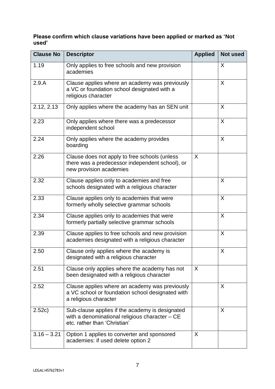| Please confirm which clause variations have been applied or marked as 'Not |  |
|----------------------------------------------------------------------------|--|
| used'                                                                      |  |

| <b>Clause No</b> | <b>Descriptor</b>                                                                                                                 | <b>Applied</b> | Not used |
|------------------|-----------------------------------------------------------------------------------------------------------------------------------|----------------|----------|
| 1.19             | Only applies to free schools and new provision<br>academies                                                                       |                | X        |
| 2.9.A            | Clause applies where an academy was previously<br>a VC or foundation school designated with a<br>religious character              |                | X        |
| 2.12, 2.13       | Only applies where the academy has an SEN unit                                                                                    |                | X        |
| 2.23             | Only applies where there was a predecessor<br>independent school                                                                  |                | X        |
| 2.24             | Only applies where the academy provides<br>boarding                                                                               |                | X        |
| 2.26             | Clause does not apply to free schools (unless<br>there was a predecessor independent school), or<br>new provision academies       | $\sf X$        |          |
| 2.32             | Clause applies only to academies and free<br>schools designated with a religious character                                        |                | X        |
| 2.33             | Clause applies only to academies that were<br>formerly wholly selective grammar schools                                           |                | X        |
| 2.34             | Clause applies only to academies that were<br>formerly partially selective grammar schools                                        |                | X        |
| 2.39             | Clause applies to free schools and new provision<br>academies designated with a religious character                               |                | X        |
| 2.50             | Clause only applies where the academy is<br>designated with a religious character                                                 |                | X        |
| 2.51             | Clause only applies where the academy has not<br>been designated with a religious character                                       | X              |          |
| 2.52             | Clause applies where an academy was previously<br>a VC school or foundation school designated with<br>a religious character       |                | X        |
| 2.52c)           | Sub-clause applies if the academy is designated<br>with a denominational religious character - CE<br>etc. rather than 'Christian' |                | X        |
| $3.16 - 3.21$    | Option 1 applies to converter and sponsored<br>academies: if used delete option 2                                                 | X.             |          |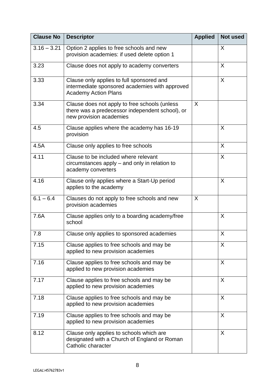| <b>Clause No</b> | <b>Descriptor</b>                                                                                                           | <b>Applied</b> | <b>Not used</b> |
|------------------|-----------------------------------------------------------------------------------------------------------------------------|----------------|-----------------|
| $3.16 - 3.21$    | Option 2 applies to free schools and new<br>provision academies: if used delete option 1                                    |                | X               |
| 3.23             | Clause does not apply to academy converters                                                                                 |                | X               |
| 3.33             | Clause only applies to full sponsored and<br>intermediate sponsored academies with approved<br><b>Academy Action Plans</b>  |                | $\sf X$         |
| 3.34             | Clause does not apply to free schools (unless<br>there was a predecessor independent school), or<br>new provision academies | X              |                 |
| 4.5              | Clause applies where the academy has 16-19<br>provision                                                                     |                | X               |
| 4.5A             | Clause only applies to free schools                                                                                         |                | X               |
| 4.11             | Clause to be included where relevant<br>circumstances apply – and only in relation to<br>academy converters                 |                | $\mathsf{X}$    |
| 4.16             | Clause only applies where a Start-Up period<br>applies to the academy                                                       |                | X               |
| $6.1 - 6.4$      | Clauses do not apply to free schools and new<br>provision academies                                                         | X              |                 |
| 7.6A             | Clause applies only to a boarding academy/free<br>school                                                                    |                | X               |
| 7.8              | Clause only applies to sponsored academies                                                                                  |                | X               |
| 7.15             | Clause applies to free schools and may be<br>applied to new provision academies                                             |                | X               |
| 7.16             | Clause applies to free schools and may be<br>applied to new provision academies                                             |                | X               |
| 7.17             | Clause applies to free schools and may be<br>applied to new provision academies                                             |                | X               |
| 7.18             | Clause applies to free schools and may be<br>applied to new provision academies                                             |                | X               |
| 7.19             | Clause applies to free schools and may be<br>applied to new provision academies                                             |                | X               |
| 8.12             | Clause only applies to schools which are<br>designated with a Church of England or Roman<br>Catholic character              |                | X               |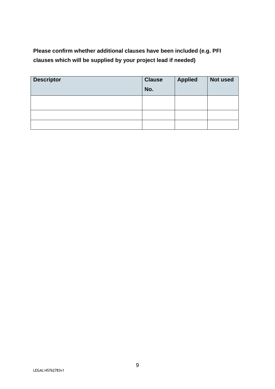**Please confirm whether additional clauses have been included (e.g. PFI clauses which will be supplied by your project lead if needed)** 

| <b>Descriptor</b> | <b>Clause</b><br>No. | <b>Applied</b> | Not used |
|-------------------|----------------------|----------------|----------|
|                   |                      |                |          |
|                   |                      |                |          |
|                   |                      |                |          |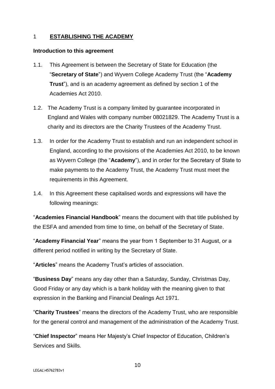#### <span id="page-9-0"></span>1 **ESTABLISHING THE ACADEMY**

#### <span id="page-9-1"></span>**Introduction to this agreement**

- 1.1. This Agreement is between the Secretary of State for Education (the "**Secretary of State**") and Wyvern College Academy Trust (the "**Academy Trust**"), and is an academy agreement as defined by section 1 of the Academies Act 2010.
- 1.2. The Academy Trust is a company limited by guarantee incorporated in England and Wales with company number 08021829. The Academy Trust is a charity and its directors are the Charity Trustees of the Academy Trust.
- 1.3. In order for the Academy Trust to establish and run an independent school in England, according to the provisions of the Academies Act 2010, to be known as Wyvern College (the "**Academy**"), and in order for the Secretary of State to make payments to the Academy Trust, the Academy Trust must meet the requirements in this Agreement.
- 1.4. In this Agreement these capitalised words and expressions will have the following meanings:

"**Academies Financial Handbook**" means the document with that title published by the ESFA and amended from time to time, on behalf of the Secretary of State.

"**Academy Financial Year**" means the year from 1 September to 31 August, or a different period notified in writing by the Secretary of State.

"**Articles**" means the Academy Trust's articles of association.

"**Business Day**" means any day other than a Saturday, Sunday, Christmas Day, Good Friday or any day which is a bank holiday with the meaning given to that expression in the Banking and Financial Dealings Act 1971.

"**Charity Trustees**" means the directors of the Academy Trust, who are responsible for the general control and management of the administration of the Academy Trust.

"**Chief Inspector**" means Her Majesty's Chief Inspector of Education, Children's Services and Skills.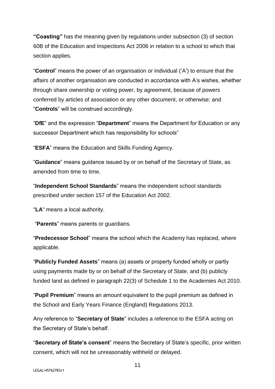**"Coasting"** has the meaning given by regulations under subsection (3) of section 60B of the Education and Inspections Act 2006 in relation to a school to which that section applies.

"**Control**" means the power of an organisation or individual ('A') to ensure that the affairs of another organisation are conducted in accordance with A's wishes, whether through share ownership or voting power, by agreement, because of powers conferred by articles of association or any other document, or otherwise; and "**Controls**" will be construed accordingly.

"**DfE**" and the expression "**Department**" means the Department for Education or any successor Department which has responsibility for schools"

"**ESFA**" means the Education and Skills Funding Agency.

"**Guidance**" means guidance issued by or on behalf of the Secretary of State, as amended from time to time.

"**Independent School Standards**" means the independent school standards prescribed under section 157 of the Education Act 2002.

"**LA**" means a local authority.

"**Parents**" means parents or guardians.

"**Predecessor School**" means the school which the Academy has replaced, where applicable.

"**Publicly Funded Assets**" means (a) assets or property funded wholly or partly using payments made by or on behalf of the Secretary of State, and (b) publicly funded land as defined in paragraph 22(3) of Schedule 1 to the Academies Act 2010.

"**Pupil Premium**" means an amount equivalent to the pupil premium as defined in the School and Early Years Finance (England) Regulations 2013.

Any reference to "**Secretary of State**" includes a reference to the ESFA acting on the Secretary of State's behalf.

"**Secretary of State's consent**" means the Secretary of State's specific, prior written consent, which will not be unreasonably withheld or delayed.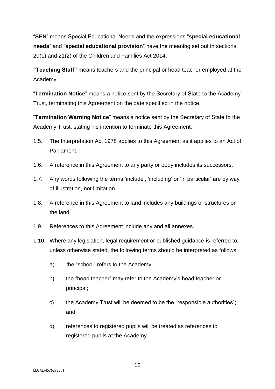"**SEN**" means Special Educational Needs and the expressions "**special educational needs**" and "**special educational provision**" have the meaning set out in sections 20(1) and 21(2) of the Children and Families Act 2014.

**"Teaching Staff"** means teachers and the principal or head teacher employed at the Academy.

"**Termination Notice**" means a notice sent by the Secretary of State to the Academy Trust, terminating this Agreement on the date specified in the notice.

"**Termination Warning Notice**" means a notice sent by the Secretary of State to the Academy Trust, stating his intention to terminate this Agreement.

- 1.5. The Interpretation Act 1978 applies to this Agreement as it applies to an Act of Parliament.
- 1.6. A reference in this Agreement to any party or body includes its successors.
- 1.7. Any words following the terms 'include', 'including' or 'in particular' are by way of illustration, not limitation.
- 1.8. A reference in this Agreement to land includes any buildings or structures on the land.
- 1.9. References to this Agreement include any and all annexes.
- 1.10. Where any legislation, legal requirement or published guidance is referred to, unless otherwise stated, the following terms should be interpreted as follows:
	- a) the "school" refers to the Academy;
	- b) the "head teacher" may refer to the Academy's head teacher or principal;
	- c) the Academy Trust will be deemed to be the "responsible authorities"; and
	- d) references to registered pupils will be treated as references to registered pupils at the Academy.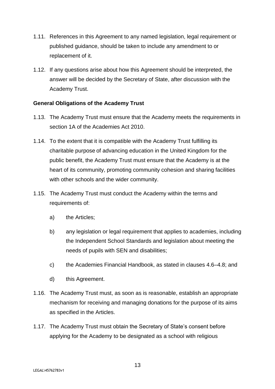- 1.11. References in this Agreement to any named legislation, legal requirement or published guidance, should be taken to include any amendment to or replacement of it.
- 1.12. If any questions arise about how this Agreement should be interpreted, the answer will be decided by the Secretary of State, after discussion with the Academy Trust.

#### <span id="page-12-0"></span>**General Obligations of the Academy Trust**

- 1.13. The Academy Trust must ensure that the Academy meets the requirements in section 1A of the Academies Act 2010.
- 1.14. To the extent that it is compatible with the Academy Trust fulfilling its charitable purpose of advancing education in the United Kingdom for the public benefit, the Academy Trust must ensure that the Academy is at the heart of its community, promoting community cohesion and sharing facilities with other schools and the wider community.
- 1.15. The Academy Trust must conduct the Academy within the terms and requirements of:
	- a) the Articles;
	- b) any legislation or legal requirement that applies to academies, including the Independent School Standards and legislation about meeting the needs of pupils with SEN and disabilities;
	- c) the Academies Financial Handbook, as stated in clauses 4.6–4.8; and
	- d) this Agreement.
- 1.16. The Academy Trust must, as soon as is reasonable, establish an appropriate mechanism for receiving and managing donations for the purpose of its aims as specified in the Articles.
- 1.17. The Academy Trust must obtain the Secretary of State's consent before applying for the Academy to be designated as a school with religious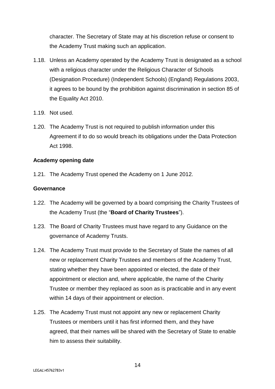character. The Secretary of State may at his discretion refuse or consent to the Academy Trust making such an application.

- 1.18. Unless an Academy operated by the Academy Trust is designated as a school with a religious character under the Religious Character of Schools (Designation Procedure) (Independent Schools) (England) Regulations 2003, it agrees to be bound by the prohibition against discrimination in section 85 of the Equality Act 2010.
- 1.19. Not used.
- 1.20. The Academy Trust is not required to publish information under this Agreement if to do so would breach its obligations under the Data Protection Act 1998.

#### <span id="page-13-0"></span>**Academy opening date**

1.21. The Academy Trust opened the Academy on 1 June 2012.

#### <span id="page-13-1"></span>**Governance**

- 1.22. The Academy will be governed by a board comprising the Charity Trustees of the Academy Trust (the "**Board of Charity Trustees**").
- 1.23. The Board of Charity Trustees must have regard to any Guidance on the governance of Academy Trusts.
- 1.24. The Academy Trust must provide to the Secretary of State the names of all new or replacement Charity Trustees and members of the Academy Trust, stating whether they have been appointed or elected, the date of their appointment or election and, where applicable, the name of the Charity Trustee or member they replaced as soon as is practicable and in any event within 14 days of their appointment or election.
- 1.25. The Academy Trust must not appoint any new or replacement Charity Trustees or members until it has first informed them, and they have agreed, that their names will be shared with the Secretary of State to enable him to assess their suitability.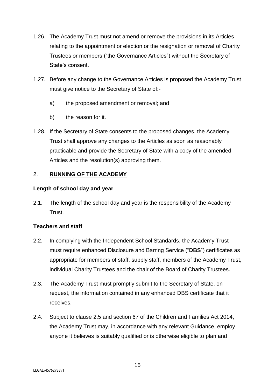- 1.26. The Academy Trust must not amend or remove the provisions in its Articles relating to the appointment or election or the resignation or removal of Charity Trustees or members ("the Governance Articles") without the Secretary of State's consent.
- 1.27. Before any change to the Governance Articles is proposed the Academy Trust must give notice to the Secretary of State of:
	- a) the proposed amendment or removal; and
	- b) the reason for it.
- 1.28. If the Secretary of State consents to the proposed changes, the Academy Trust shall approve any changes to the Articles as soon as reasonably practicable and provide the Secretary of State with a copy of the amended Articles and the resolution(s) approving them.

# <span id="page-14-0"></span>2. **RUNNING OF THE ACADEMY**

#### <span id="page-14-1"></span>**Length of school day and year**

2.1. The length of the school day and year is the responsibility of the Academy Trust.

# <span id="page-14-2"></span>**Teachers and staff**

- 2.2. In complying with the Independent School Standards, the Academy Trust must require enhanced Disclosure and Barring Service ("**DBS**") certificates as appropriate for members of staff, supply staff, members of the Academy Trust, individual Charity Trustees and the chair of the Board of Charity Trustees.
- 2.3. The Academy Trust must promptly submit to the Secretary of State, on request, the information contained in any enhanced DBS certificate that it receives.
- 2.4. Subject to clause 2.5 and section 67 of the Children and Families Act 2014, the Academy Trust may, in accordance with any relevant Guidance, employ anyone it believes is suitably qualified or is otherwise eligible to plan and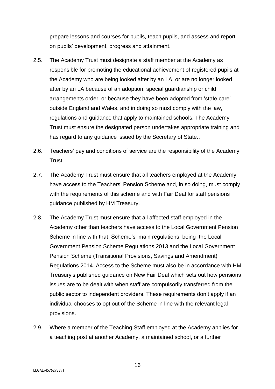prepare lessons and courses for pupils, teach pupils, and assess and report on pupils' development, progress and attainment.

- 2.5. The Academy Trust must designate a staff member at the Academy as responsible for promoting the educational achievement of registered pupils at the Academy who are being looked after by an LA, or are no longer looked after by an LA because of an adoption, special guardianship or child arrangements order, or because they have been adopted from 'state care' outside England and Wales, and in doing so must comply with the law, regulations and guidance that apply to maintained schools. The Academy Trust must ensure the designated person undertakes appropriate training and has regard to any guidance issued by the Secretary of State..
- 2.6. Teachers' pay and conditions of service are the responsibility of the Academy Trust.
- 2.7. The Academy Trust must ensure that all teachers employed at the Academy have access to the Teachers' Pension Scheme and, in so doing, must comply with the requirements of this scheme and with Fair Deal for staff pensions guidance published by HM Treasury.
- 2.8. The Academy Trust must ensure that all affected staff employed in the Academy other than teachers have access to the Local Government Pension Scheme in line with that Scheme's main regulations being the Local Government Pension Scheme Regulations 2013 and the Local Government Pension Scheme (Transitional Provisions, Savings and Amendment) Regulations 2014. Access to the Scheme must also be in accordance with HM Treasury's published guidance on New Fair Deal which sets out how pensions issues are to be dealt with when staff are compulsorily transferred from the public sector to independent providers. These requirements don't apply if an individual chooses to opt out of the Scheme in line with the relevant legal provisions.
- 2.9. Where a member of the Teaching Staff employed at the Academy applies for a teaching post at another Academy, a maintained school, or a further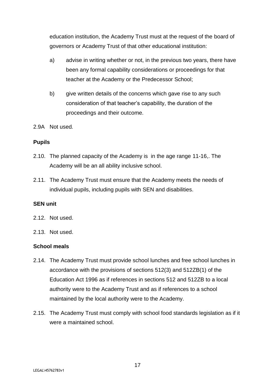education institution, the Academy Trust must at the request of the board of governors or Academy Trust of that other educational institution:

- a) advise in writing whether or not, in the previous two years, there have been any formal capability considerations or proceedings for that teacher at the Academy or the Predecessor School;
- b) give written details of the concerns which gave rise to any such consideration of that teacher's capability, the duration of the proceedings and their outcome.
- 2.9A Not used*.*

# <span id="page-16-0"></span>**Pupils**

- 2.10. The planned capacity of the Academy is in the age range 11-16,. The Academy will be an all ability inclusive school.
- 2.11. The Academy Trust must ensure that the Academy meets the needs of individual pupils, including pupils with SEN and disabilities.

# **SEN unit**

- 2.12. Not used.
- 2.13. Not used.

# <span id="page-16-1"></span>**School meals**

- 2.14. The Academy Trust must provide school lunches and free school lunches in accordance with the provisions of sections 512(3) and 512ZB(1) of the Education Act 1996 as if references in sections 512 and 512ZB to a local authority were to the Academy Trust and as if references to a school maintained by the local authority were to the Academy.
- 2.15. The Academy Trust must comply with school food standards legislation as if it were a maintained school.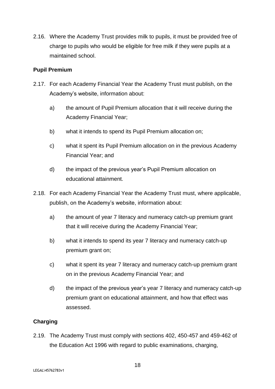2.16. Where the Academy Trust provides milk to pupils, it must be provided free of charge to pupils who would be eligible for free milk if they were pupils at a maintained school.

# <span id="page-17-0"></span>**Pupil Premium**

- 2.17. For each Academy Financial Year the Academy Trust must publish, on the Academy's website, information about:
	- a) the amount of Pupil Premium allocation that it will receive during the Academy Financial Year;
	- b) what it intends to spend its Pupil Premium allocation on;
	- c) what it spent its Pupil Premium allocation on in the previous Academy Financial Year; and
	- d) the impact of the previous year's Pupil Premium allocation on educational attainment.
- 2.18. For each Academy Financial Year the Academy Trust must, where applicable, publish, on the Academy's website, information about:
	- a) the amount of year 7 literacy and numeracy catch-up premium grant that it will receive during the Academy Financial Year;
	- b) what it intends to spend its year 7 literacy and numeracy catch-up premium grant on;
	- c) what it spent its year 7 literacy and numeracy catch-up premium grant on in the previous Academy Financial Year; and
	- d) the impact of the previous year's year 7 literacy and numeracy catch-up premium grant on educational attainment, and how that effect was assessed.

# <span id="page-17-1"></span>**Charging**

2.19. The Academy Trust must comply with sections 402, 450-457 and 459-462 of the Education Act 1996 with regard to public examinations, charging,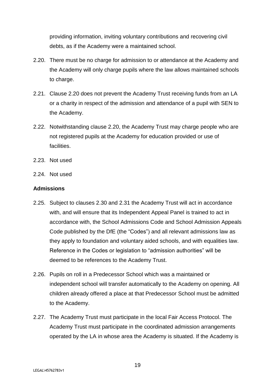providing information, inviting voluntary contributions and recovering civil debts, as if the Academy were a maintained school.

- 2.20. There must be no charge for admission to or attendance at the Academy and the Academy will only charge pupils where the law allows maintained schools to charge.
- 2.21. Clause 2.20 does not prevent the Academy Trust receiving funds from an LA or a charity in respect of the admission and attendance of a pupil with SEN to the Academy.
- 2.22. Notwithstanding clause 2.20, the Academy Trust may charge people who are not registered pupils at the Academy for education provided or use of **facilities**
- 2.23. Not used
- 2.24. Not used

#### <span id="page-18-0"></span>**Admissions**

- 2.25. Subject to clauses 2.30 and 2.31 the Academy Trust will act in accordance with, and will ensure that its Independent Appeal Panel is trained to act in accordance with, the School Admissions Code and School Admission Appeals Code published by the DfE (the "Codes") and all relevant admissions law as they apply to foundation and voluntary aided schools, and with equalities law. Reference in the Codes or legislation to "admission authorities" will be deemed to be references to the Academy Trust.
- 2.26. Pupils on roll in a Predecessor School which was a maintained or independent school will transfer automatically to the Academy on opening. All children already offered a place at that Predecessor School must be admitted to the Academy.
- 2.27. The Academy Trust must participate in the local Fair Access Protocol. The Academy Trust must participate in the coordinated admission arrangements operated by the LA in whose area the Academy is situated. If the Academy is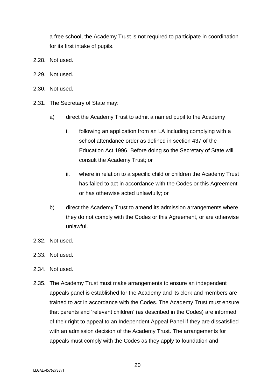a free school, the Academy Trust is not required to participate in coordination for its first intake of pupils.

- 2.28. Not used.
- 2.29. Not used.
- 2.30. Not used.
- 2.31. The Secretary of State may:
	- a) direct the Academy Trust to admit a named pupil to the Academy:
		- i. following an application from an LA including complying with a school attendance order as defined in section 437 of the Education Act 1996. Before doing so the Secretary of State will consult the Academy Trust; or
		- ii. where in relation to a specific child or children the Academy Trust has failed to act in accordance with the Codes or this Agreement or has otherwise acted unlawfully; or
	- b) direct the Academy Trust to amend its admission arrangements where they do not comply with the Codes or this Agreement, or are otherwise unlawful.
- 2.32. Not used.
- 2.33. Not used.
- 2.34. Not used.
- 2.35. The Academy Trust must make arrangements to ensure an independent appeals panel is established for the Academy and its clerk and members are trained to act in accordance with the Codes. The Academy Trust must ensure that parents and 'relevant children' (as described in the Codes) are informed of their right to appeal to an Independent Appeal Panel if they are dissatisfied with an admission decision of the Academy Trust. The arrangements for appeals must comply with the Codes as they apply to foundation and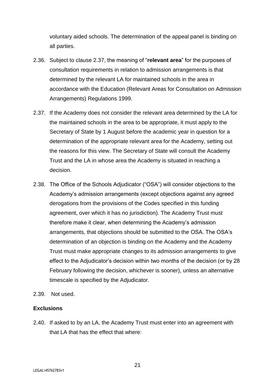voluntary aided schools. The determination of the appeal panel is binding on all parties.

- 2.36. Subject to clause 2.37, the meaning of "**relevant area**" for the purposes of consultation requirements in relation to admission arrangements is that determined by the relevant LA for maintained schools in the area in accordance with the Education (Relevant Areas for Consultation on Admission Arrangements) Regulations 1999.
- 2.37. If the Academy does not consider the relevant area determined by the LA for the maintained schools in the area to be appropriate, it must apply to the Secretary of State by 1 August before the academic year in question for a determination of the appropriate relevant area for the Academy, setting out the reasons for this view. The Secretary of State will consult the Academy Trust and the LA in whose area the Academy is situated in reaching a decision.
- 2.38. The Office of the Schools Adjudicator ("OSA") will consider objections to the Academy's admission arrangements (except objections against any agreed derogations from the provisions of the Codes specified in this funding agreement, over which it has no jurisdiction). The Academy Trust must therefore make it clear, when determining the Academy's admission arrangements, that objections should be submitted to the OSA. The OSA's determination of an objection is binding on the Academy and the Academy Trust must make appropriate changes to its admission arrangements to give effect to the Adjudicator's decision within two months of the decision (or by 28 February following the decision, whichever is sooner), unless an alternative timescale is specified by the Adjudicator.
- 2.39. Not used.

# <span id="page-20-0"></span>**Exclusions**

2.40. If asked to by an LA, the Academy Trust must enter into an agreement with that LA that has the effect that where: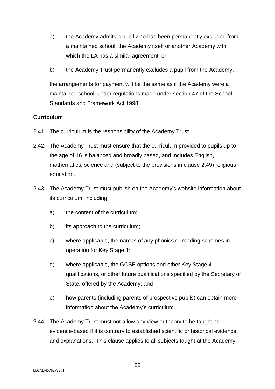- a) the Academy admits a pupil who has been permanently excluded from a maintained school, the Academy itself or another Academy with which the LA has a similar agreement; or
- b) the Academy Trust permanently excludes a pupil from the Academy,

the arrangements for payment will be the same as if the Academy were a maintained school, under regulations made under section 47 of the School Standards and Framework Act 1998.

# <span id="page-21-0"></span>**Curriculum**

- 2.41. The curriculum is the responsibility of the Academy Trust.
- 2.42. The Academy Trust must ensure that the curriculum provided to pupils up to the age of 16 is balanced and broadly based, and includes English, mathematics, science and (subject to the provisions in clause 2.49) religious education.
- 2.43. The Academy Trust must publish on the Academy's website information about its curriculum, including:
	- a) the content of the curriculum;
	- b) its approach to the curriculum;
	- c) where applicable, the names of any phonics or reading schemes in operation for Key Stage 1;
	- d) where applicable, the GCSE options and other Key Stage 4 qualifications, or other future qualifications specified by the Secretary of State, offered by the Academy; and
	- e) how parents (including parents of prospective pupils) can obtain more information about the Academy's curriculum.
- 2.44. The Academy Trust must not allow any view or theory to be taught as evidence-based if it is contrary to established scientific or historical evidence and explanations. This clause applies to all subjects taught at the Academy.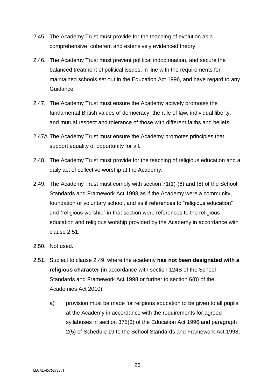- 2.45. The Academy Trust must provide for the teaching of evolution as a comprehensive, coherent and extensively evidenced theory.
- 2.46. The Academy Trust must prevent political indoctrination, and secure the balanced treatment of political issues, in line with the requirements for maintained schools set out in the Education Act 1996, and have regard to any Guidance.
- 2.47. The Academy Trust must ensure the Academy actively promotes the fundamental British values of democracy, the rule of law, individual liberty, and mutual respect and tolerance of those with different faiths and beliefs.
- 2.47A The Academy Trust must ensure the Academy promotes principles that support equality of opportunity for all.
- 2.48. The Academy Trust must provide for the teaching of religious education and a daily act of collective worship at the Academy.
- 2.49. The Academy Trust must comply with section 71(1)-(6) and (8) of the School Standards and Framework Act 1998 as if the Academy were a community, foundation or voluntary school, and as if references to "religious education" and "religious worship" in that section were references to the religious education and religious worship provided by the Academy in accordance with clause 2.51.
- 2.50. Not used.
- 2.51. Subject to clause 2.49, where the academy **has not been designated with a religious character** (in accordance with section 124B of the School Standards and Framework Act 1998 or further to section 6(8) of the Academies Act 2010):
	- a) provision must be made for religious education to be given to all pupils at the Academy in accordance with the requirements for agreed syllabuses in section 375(3) of the Education Act 1996 and paragraph 2(5) of Schedule 19 to the School Standards and Framework Act 1998;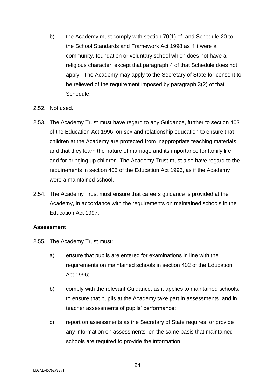- b) the Academy must comply with section 70(1) of, and Schedule 20 to, the School Standards and Framework Act 1998 as if it were a community, foundation or voluntary school which does not have a religious character, except that paragraph 4 of that Schedule does not apply. The Academy may apply to the Secretary of State for consent to be relieved of the requirement imposed by paragraph 3(2) of that Schedule.
- 2.52. Not used.
- 2.53. The Academy Trust must have regard to any Guidance, further to section 403 of the Education Act 1996, on sex and relationship education to ensure that children at the Academy are protected from inappropriate teaching materials and that they learn the nature of marriage and its importance for family life and for bringing up children. The Academy Trust must also have regard to the requirements in section 405 of the Education Act 1996, as if the Academy were a maintained school.
- 2.54. The Academy Trust must ensure that careers guidance is provided at the Academy, in accordance with the requirements on maintained schools in the Education Act 1997.

#### <span id="page-23-0"></span>**Assessment**

- 2.55. The Academy Trust must:
	- a) ensure that pupils are entered for examinations in line with the requirements on maintained schools in section 402 of the Education Act 1996;
	- b) comply with the relevant Guidance, as it applies to maintained schools, to ensure that pupils at the Academy take part in assessments, and in teacher assessments of pupils' performance;
	- c) report on assessments as the Secretary of State requires, or provide any information on assessments, on the same basis that maintained schools are required to provide the information;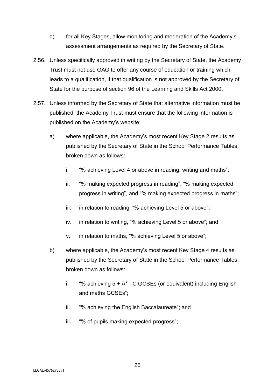- d) for all Key Stages, allow monitoring and moderation of the Academy's assessment arrangements as required by the Secretary of State.
- 2.56. Unless specifically approved in writing by the Secretary of State, the Academy Trust must not use GAG to offer any course of education or training which leads to a qualification, if that qualification is not approved by the Secretary of State for the purpose of section 96 of the Learning and Skills Act 2000.
- 2.57. Unless informed by the Secretary of State that alternative information must be published, the Academy Trust must ensure that the following information is published on the Academy's website:
	- a) where applicable, the Academy's most recent Key Stage 2 results as published by the Secretary of State in the School Performance Tables, broken down as follows:
		- i. "% achieving Level 4 or above in reading, writing and maths";
		- ii. "% making expected progress in reading", "% making expected progress in writing", and "% making expected progress in maths";
		- iii. in relation to reading, "% achieving Level 5 or above";
		- iv. in relation to writing, "% achieving Level 5 or above"; and
		- v. in relation to maths, "% achieving Level 5 or above";
	- b) where applicable, the Academy's most recent Key Stage 4 results as published by the Secretary of State in the School Performance Tables, broken down as follows:
		- i. "% achieving  $5 + A^* C$  GCSEs (or equivalent) including English and maths GCSEs";
		- ii. "% achieving the English Baccalaureate"; and
		- iii. "% of pupils making expected progress";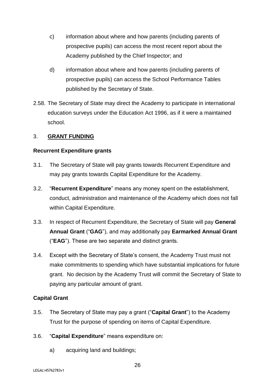- c) information about where and how parents (including parents of prospective pupils) can access the most recent report about the Academy published by the Chief Inspector; and
- d) information about where and how parents (including parents of prospective pupils) can access the School Performance Tables published by the Secretary of State.
- 2.58. The Secretary of State may direct the Academy to participate in international education surveys under the Education Act 1996, as if it were a maintained school.

#### <span id="page-25-0"></span>3. **GRANT FUNDING**

#### <span id="page-25-1"></span>**Recurrent Expenditure grants**

- 3.1. The Secretary of State will pay grants towards Recurrent Expenditure and may pay grants towards Capital Expenditure for the Academy.
- 3.2. "**Recurrent Expenditure**" means any money spent on the establishment, conduct, administration and maintenance of the Academy which does not fall within Capital Expenditure.
- 3.3. In respect of Recurrent Expenditure, the Secretary of State will pay **General Annual Grant** ("**GAG**"), and may additionally pay **Earmarked Annual Grant** ("**EAG**"). These are two separate and distinct grants.
- 3.4. Except with the Secretary of State's consent, the Academy Trust must not make commitments to spending which have substantial implications for future grant. No decision by the Academy Trust will commit the Secretary of State to paying any particular amount of grant.

# <span id="page-25-2"></span>**Capital Grant**

- 3.5. The Secretary of State may pay a grant ("**Capital Grant**") to the Academy Trust for the purpose of spending on items of Capital Expenditure.
- 3.6. "**Capital Expenditure**" means expenditure on:
	- a) acquiring land and buildings;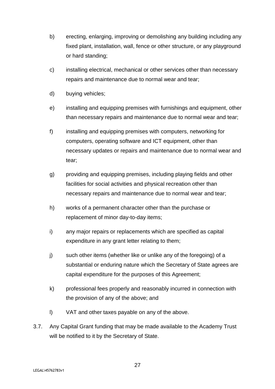- b) erecting, enlarging, improving or demolishing any building including any fixed plant, installation, wall, fence or other structure, or any playground or hard standing;
- c) installing electrical, mechanical or other services other than necessary repairs and maintenance due to normal wear and tear;
- d) buying vehicles;
- e) installing and equipping premises with furnishings and equipment, other than necessary repairs and maintenance due to normal wear and tear;
- f) installing and equipping premises with computers, networking for computers, operating software and ICT equipment, other than necessary updates or repairs and maintenance due to normal wear and tear;
- g) providing and equipping premises, including playing fields and other facilities for social activities and physical recreation other than necessary repairs and maintenance due to normal wear and tear;
- h) works of a permanent character other than the purchase or replacement of minor day-to-day items;
- i) any major repairs or replacements which are specified as capital expenditure in any grant letter relating to them;
- j) such other items (whether like or unlike any of the foregoing) of a substantial or enduring nature which the Secretary of State agrees are capital expenditure for the purposes of this Agreement;
- k) professional fees properly and reasonably incurred in connection with the provision of any of the above; and
- l) VAT and other taxes payable on any of the above.
- 3.7. Any Capital Grant funding that may be made available to the Academy Trust will be notified to it by the Secretary of State.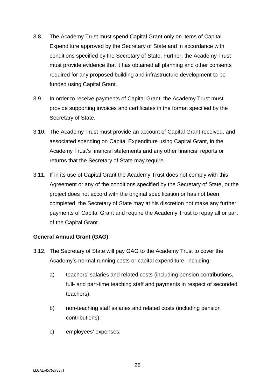- 3.8. The Academy Trust must spend Capital Grant only on items of Capital Expenditure approved by the Secretary of State and in accordance with conditions specified by the Secretary of State. Further, the Academy Trust must provide evidence that it has obtained all planning and other consents required for any proposed building and infrastructure development to be funded using Capital Grant.
- 3.9. In order to receive payments of Capital Grant, the Academy Trust must provide supporting invoices and certificates in the format specified by the Secretary of State.
- 3.10. The Academy Trust must provide an account of Capital Grant received, and associated spending on Capital Expenditure using Capital Grant, in the Academy Trust's financial statements and any other financial reports or returns that the Secretary of State may require.
- 3.11. If in its use of Capital Grant the Academy Trust does not comply with this Agreement or any of the conditions specified by the Secretary of State, or the project does not accord with the original specification or has not been completed, the Secretary of State may at his discretion not make any further payments of Capital Grant and require the Academy Trust to repay all or part of the Capital Grant.

# <span id="page-27-0"></span>**General Annual Grant (GAG)**

- 3.12. The Secretary of State will pay GAG to the Academy Trust to cover the Academy's normal running costs or capital expenditure, including:
	- a) teachers' salaries and related costs (including pension contributions, full- and part-time teaching staff and payments in respect of seconded teachers);
	- b) non-teaching staff salaries and related costs (including pension contributions);
	- c) employees' expenses;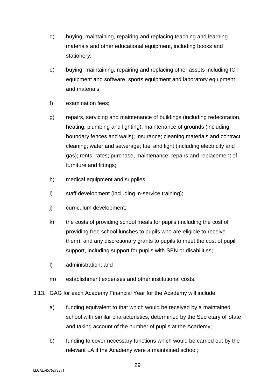- d) buying, maintaining, repairing and replacing teaching and learning materials and other educational equipment, including books and stationery;
- e) buying, maintaining, repairing and replacing other assets including ICT equipment and software, sports equipment and laboratory equipment and materials;
- f) examination fees;
- g) repairs, servicing and maintenance of buildings (including redecoration, heating, plumbing and lighting); maintenance of grounds (including boundary fences and walls); insurance; cleaning materials and contract cleaning; water and sewerage; fuel and light (including electricity and gas); rents; rates; purchase, maintenance, repairs and replacement of furniture and fittings;
- h) medical equipment and supplies;
- i) staff development (including in-service training);
- j) curriculum development;
- k) the costs of providing school meals for pupils (including the cost of providing free school lunches to pupils who are eligible to receive them), and any discretionary grants to pupils to meet the cost of pupil support, including support for pupils with SEN or disabilities;
- l) administration; and
- m) establishment expenses and other institutional costs.
- 3.13. GAG for each Academy Financial Year for the Academy will include:
	- a) funding equivalent to that which would be received by a maintained school with similar characteristics, determined by the Secretary of State and taking account of the number of pupils at the Academy;
	- b) funding to cover necessary functions which would be carried out by the relevant LA if the Academy were a maintained school;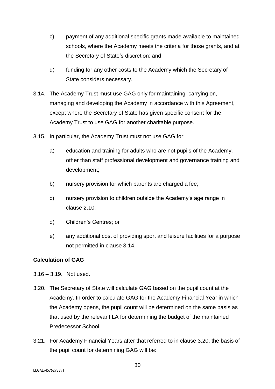- c) payment of any additional specific grants made available to maintained schools, where the Academy meets the criteria for those grants, and at the Secretary of State's discretion; and
- d) funding for any other costs to the Academy which the Secretary of State considers necessary.
- 3.14. The Academy Trust must use GAG only for maintaining, carrying on, managing and developing the Academy in accordance with this Agreement, except where the Secretary of State has given specific consent for the Academy Trust to use GAG for another charitable purpose.
- 3.15. In particular, the Academy Trust must not use GAG for:
	- a) education and training for adults who are not pupils of the Academy, other than staff professional development and governance training and development;
	- b) nursery provision for which parents are charged a fee;
	- c) nursery provision to children outside the Academy's age range in clause 2.10;
	- d) Children's Centres; or
	- e) any additional cost of providing sport and leisure facilities for a purpose not permitted in clause 3.14.

# <span id="page-29-0"></span>**Calculation of GAG**

- 3.16 3.19. Not used.
- 3.20. The Secretary of State will calculate GAG based on the pupil count at the Academy. In order to calculate GAG for the Academy Financial Year in which the Academy opens, the pupil count will be determined on the same basis as that used by the relevant LA for determining the budget of the maintained Predecessor School.
- 3.21. For Academy Financial Years after that referred to in clause 3.20, the basis of the pupil count for determining GAG will be: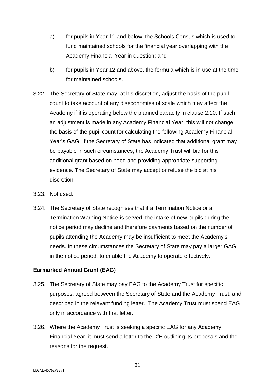- a) for pupils in Year 11 and below, the Schools Census which is used to fund maintained schools for the financial year overlapping with the Academy Financial Year in question; and
- b) for pupils in Year 12 and above, the formula which is in use at the time for maintained schools.
- 3.22. The Secretary of State may, at his discretion, adjust the basis of the pupil count to take account of any diseconomies of scale which may affect the Academy if it is operating below the planned capacity in clause 2.10. If such an adjustment is made in any Academy Financial Year, this will not change the basis of the pupil count for calculating the following Academy Financial Year's GAG. If the Secretary of State has indicated that additional grant may be payable in such circumstances, the Academy Trust will bid for this additional grant based on need and providing appropriate supporting evidence. The Secretary of State may accept or refuse the bid at his discretion.
- 3.23. Not used.
- 3.24. The Secretary of State recognises that if a Termination Notice or a Termination Warning Notice is served, the intake of new pupils during the notice period may decline and therefore payments based on the number of pupils attending the Academy may be insufficient to meet the Academy's needs. In these circumstances the Secretary of State may pay a larger GAG in the notice period, to enable the Academy to operate effectively.

# <span id="page-30-0"></span>**Earmarked Annual Grant (EAG)**

- 3.25. The Secretary of State may pay EAG to the Academy Trust for specific purposes, agreed between the Secretary of State and the Academy Trust, and described in the relevant funding letter. The Academy Trust must spend EAG only in accordance with that letter.
- 3.26. Where the Academy Trust is seeking a specific EAG for any Academy Financial Year, it must send a letter to the DfE outlining its proposals and the reasons for the request.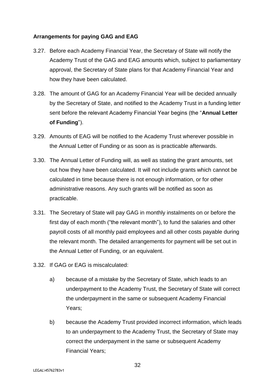# <span id="page-31-0"></span>**Arrangements for paying GAG and EAG**

- 3.27. Before each Academy Financial Year, the Secretary of State will notify the Academy Trust of the GAG and EAG amounts which, subject to parliamentary approval, the Secretary of State plans for that Academy Financial Year and how they have been calculated.
- 3.28. The amount of GAG for an Academy Financial Year will be decided annually by the Secretary of State, and notified to the Academy Trust in a funding letter sent before the relevant Academy Financial Year begins (the "**Annual Letter of Funding**").
- 3.29. Amounts of EAG will be notified to the Academy Trust wherever possible in the Annual Letter of Funding or as soon as is practicable afterwards.
- 3.30. The Annual Letter of Funding will, as well as stating the grant amounts, set out how they have been calculated. It will not include grants which cannot be calculated in time because there is not enough information, or for other administrative reasons. Any such grants will be notified as soon as practicable.
- 3.31. The Secretary of State will pay GAG in monthly instalments on or before the first day of each month ("the relevant month"), to fund the salaries and other payroll costs of all monthly paid employees and all other costs payable during the relevant month. The detailed arrangements for payment will be set out in the Annual Letter of Funding, or an equivalent.
- 3.32. If GAG or EAG is miscalculated:
	- a) because of a mistake by the Secretary of State, which leads to an underpayment to the Academy Trust, the Secretary of State will correct the underpayment in the same or subsequent Academy Financial Years;
	- b) because the Academy Trust provided incorrect information, which leads to an underpayment to the Academy Trust, the Secretary of State may correct the underpayment in the same or subsequent Academy Financial Years;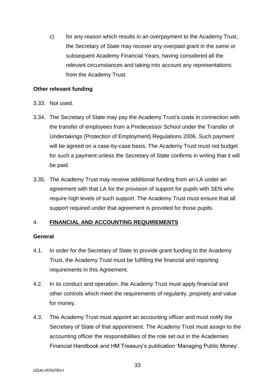c) for any reason which results in an overpayment to the Academy Trust, the Secretary of State may recover any overpaid grant in the same or subsequent Academy Financial Years, having considered all the relevant circumstances and taking into account any representations from the Academy Trust.

#### <span id="page-32-0"></span>**Other relevant funding**

- 3.33. Not used.
- 3.34. The Secretary of State may pay the Academy Trust's costs in connection with the transfer of employees from a Predecessor School under the Transfer of Undertakings (Protection of Employment) Regulations 2006. Such payment will be agreed on a case-by-case basis. The Academy Trust must not budget for such a payment unless the Secretary of State confirms in writing that it will be paid.
- 3.35. The Academy Trust may receive additional funding from an LA under an agreement with that LA for the provision of support for pupils with SEN who require high levels of such support. The Academy Trust must ensure that all support required under that agreement is provided for those pupils.

# <span id="page-32-1"></span>4. **FINANCIAL AND ACCOUNTING REQUIREMENTS**

#### <span id="page-32-2"></span>**General**

- 4.1. In order for the Secretary of State to provide grant funding to the Academy Trust, the Academy Trust must be fulfilling the financial and reporting requirements in this Agreement.
- 4.2. In its conduct and operation, the Academy Trust must apply financial and other controls which meet the requirements of regularity, propriety and value for money.
- 4.3. The Academy Trust must appoint an accounting officer and must notify the Secretary of State of that appointment. The Academy Trust must assign to the accounting officer the responsibilities of the role set out in the Academies Financial Handbook and HM Treasury's publication 'Managing Public Money'.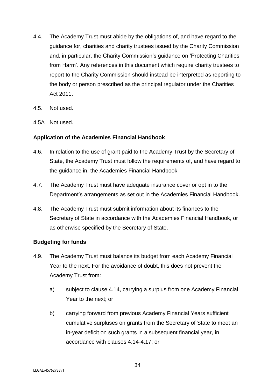- 4.4. The Academy Trust must abide by the obligations of, and have regard to the guidance for, charities and charity trustees issued by the Charity Commission and, in particular, the Charity Commission's guidance on 'Protecting Charities from Harm'. Any references in this document which require charity trustees to report to the Charity Commission should instead be interpreted as reporting to the body or person prescribed as the principal regulator under the Charities Act 2011.
- 4.5. Not used.
- 4.5A Not used.

#### <span id="page-33-0"></span>**Application of the Academies Financial Handbook**

- 4.6. In relation to the use of grant paid to the Academy Trust by the Secretary of State, the Academy Trust must follow the requirements of, and have regard to the guidance in, the Academies Financial Handbook.
- 4.7. The Academy Trust must have adequate insurance cover or opt in to the Department's arrangements as set out in the Academies Financial Handbook.
- 4.8. The Academy Trust must submit information about its finances to the Secretary of State in accordance with the Academies Financial Handbook, or as otherwise specified by the Secretary of State.

#### <span id="page-33-1"></span>**Budgeting for funds**

- 4.9. The Academy Trust must balance its budget from each Academy Financial Year to the next. For the avoidance of doubt, this does not prevent the Academy Trust from:
	- a) subject to clause 4.14, carrying a surplus from one Academy Financial Year to the next; or
	- b) carrying forward from previous Academy Financial Years sufficient cumulative surpluses on grants from the Secretary of State to meet an in-year deficit on such grants in a subsequent financial year, in accordance with clauses 4.14-4.17; or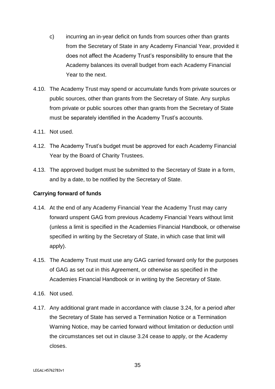- c) incurring an in-year deficit on funds from sources other than grants from the Secretary of State in any Academy Financial Year, provided it does not affect the Academy Trust's responsibility to ensure that the Academy balances its overall budget from each Academy Financial Year to the next.
- 4.10. The Academy Trust may spend or accumulate funds from private sources or public sources, other than grants from the Secretary of State. Any surplus from private or public sources other than grants from the Secretary of State must be separately identified in the Academy Trust's accounts.
- 4.11. Not used.
- 4.12. The Academy Trust's budget must be approved for each Academy Financial Year by the Board of Charity Trustees.
- 4.13. The approved budget must be submitted to the Secretary of State in a form, and by a date, to be notified by the Secretary of State.

#### <span id="page-34-0"></span>**Carrying forward of funds**

- 4.14. At the end of any Academy Financial Year the Academy Trust may carry forward unspent GAG from previous Academy Financial Years without limit (unless a limit is specified in the Academies Financial Handbook, or otherwise specified in writing by the Secretary of State, in which case that limit will apply).
- 4.15. The Academy Trust must use any GAG carried forward only for the purposes of GAG as set out in this Agreement, or otherwise as specified in the Academies Financial Handbook or in writing by the Secretary of State.
- 4.16. Not used.
- 4.17. Any additional grant made in accordance with clause 3.24, for a period after the Secretary of State has served a Termination Notice or a Termination Warning Notice, may be carried forward without limitation or deduction until the circumstances set out in clause 3.24 cease to apply, or the Academy closes.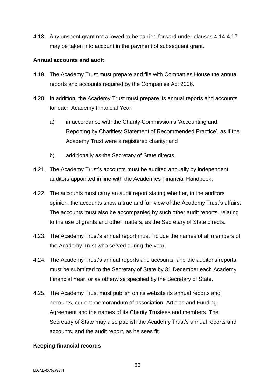4.18. Any unspent grant not allowed to be carried forward under clauses 4.14-4.17 may be taken into account in the payment of subsequent grant.

#### <span id="page-35-0"></span>**Annual accounts and audit**

- 4.19. The Academy Trust must prepare and file with Companies House the annual reports and accounts required by the Companies Act 2006.
- 4.20. In addition, the Academy Trust must prepare its annual reports and accounts for each Academy Financial Year:
	- a) in accordance with the Charity Commission's 'Accounting and Reporting by Charities: Statement of Recommended Practice', as if the Academy Trust were a registered charity; and
	- b) additionally as the Secretary of State directs.
- 4.21. The Academy Trust's accounts must be audited annually by independent auditors appointed in line with the Academies Financial Handbook.
- 4.22. The accounts must carry an audit report stating whether, in the auditors' opinion, the accounts show a true and fair view of the Academy Trust's affairs. The accounts must also be accompanied by such other audit reports, relating to the use of grants and other matters, as the Secretary of State directs.
- 4.23. The Academy Trust's annual report must include the names of all members of the Academy Trust who served during the year.
- 4.24. The Academy Trust's annual reports and accounts, and the auditor's reports, must be submitted to the Secretary of State by 31 December each Academy Financial Year, or as otherwise specified by the Secretary of State.
- 4.25. The Academy Trust must publish on its website its annual reports and accounts, current memorandum of association, Articles and Funding Agreement and the names of its Charity Trustees and members. The Secretary of State may also publish the Academy Trust's annual reports and accounts, and the audit report, as he sees fit.

#### <span id="page-35-1"></span>**Keeping financial records**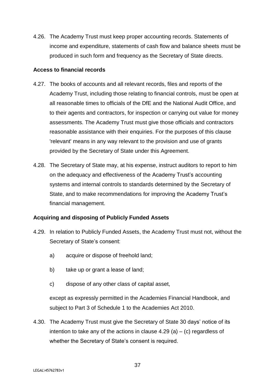4.26. The Academy Trust must keep proper accounting records. Statements of income and expenditure, statements of cash flow and balance sheets must be produced in such form and frequency as the Secretary of State directs.

#### <span id="page-36-0"></span>**Access to financial records**

- 4.27. The books of accounts and all relevant records, files and reports of the Academy Trust, including those relating to financial controls, must be open at all reasonable times to officials of the DfE and the National Audit Office, and to their agents and contractors, for inspection or carrying out value for money assessments. The Academy Trust must give those officials and contractors reasonable assistance with their enquiries. For the purposes of this clause 'relevant' means in any way relevant to the provision and use of grants provided by the Secretary of State under this Agreement.
- 4.28. The Secretary of State may, at his expense, instruct auditors to report to him on the adequacy and effectiveness of the Academy Trust's accounting systems and internal controls to standards determined by the Secretary of State, and to make recommendations for improving the Academy Trust's financial management.

# <span id="page-36-1"></span>**Acquiring and disposing of Publicly Funded Assets**

- 4.29. In relation to Publicly Funded Assets, the Academy Trust must not, without the Secretary of State's consent:
	- a) acquire or dispose of freehold land;
	- b) take up or grant a lease of land;
	- c) dispose of any other class of capital asset,

except as expressly permitted in the Academies Financial Handbook, and subject to Part 3 of Schedule 1 to the Academies Act 2010.

4.30. The Academy Trust must give the Secretary of State 30 days' notice of its intention to take any of the actions in clause  $4.29$  (a) – (c) regardless of whether the Secretary of State's consent is required.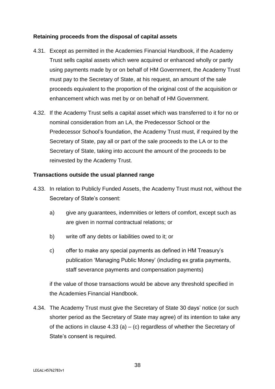## <span id="page-37-0"></span>**Retaining proceeds from the disposal of capital assets**

- 4.31. Except as permitted in the Academies Financial Handbook, if the Academy Trust sells capital assets which were acquired or enhanced wholly or partly using payments made by or on behalf of HM Government, the Academy Trust must pay to the Secretary of State, at his request, an amount of the sale proceeds equivalent to the proportion of the original cost of the acquisition or enhancement which was met by or on behalf of HM Government.
- 4.32. If the Academy Trust sells a capital asset which was transferred to it for no or nominal consideration from an LA, the Predecessor School or the Predecessor School's foundation, the Academy Trust must, if required by the Secretary of State, pay all or part of the sale proceeds to the LA or to the Secretary of State, taking into account the amount of the proceeds to be reinvested by the Academy Trust.

#### <span id="page-37-1"></span>**Transactions outside the usual planned range**

- 4.33. In relation to Publicly Funded Assets, the Academy Trust must not, without the Secretary of State's consent:
	- a) give any guarantees, indemnities or letters of comfort, except such as are given in normal contractual relations; or
	- b) write off any debts or liabilities owed to it; or
	- c) offer to make any special payments as defined in HM Treasury's publication 'Managing Public Money' (including ex gratia payments, staff severance payments and compensation payments)

if the value of those transactions would be above any threshold specified in the Academies Financial Handbook.

4.34. The Academy Trust must give the Secretary of State 30 days' notice (or such shorter period as the Secretary of State may agree) of its intention to take any of the actions in clause  $4.33$  (a) – (c) regardless of whether the Secretary of State's consent is required.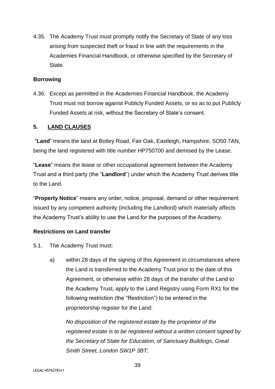4.35. The Academy Trust must promptly notify the Secretary of State of any loss arising from suspected theft or fraud in line with the requirements in the Academies Financial Handbook, or otherwise specified by the Secretary of State.

#### <span id="page-38-0"></span>**Borrowing**

4.36. Except as permitted in the Academies Financial Handbook, the Academy Trust must not borrow against Publicly Funded Assets, or so as to put Publicly Funded Assets at risk, without the Secretary of State's consent.

#### <span id="page-38-1"></span>**5. LAND CLAUSES**

<span id="page-38-2"></span>"**Land**" means the land at Botley Road, Fair Oak, Eastleigh, Hampshire, SO50 7AN, being the land registered with title number HP750700 and demised by the Lease.

"**Lease**" means the lease or other occupational agreement between the Academy Trust and a third party (the "**Landlord**") under which the Academy Trust derives title to the Land.

"**Property Notice**" means any order, notice, proposal, demand or other requirement issued by any competent authority (including the Landlord) which materially affects the Academy Trust's ability to use the Land for the purposes of the Academy.

#### **Restrictions on Land transfer**

- 5.1. The Academy Trust must:
	- a) within 28 days of the signing of this Agreement in circumstances where the Land is transferred to the Academy Trust prior to the date of this Agreement, or otherwise within 28 days of the transfer of the Land to the Academy Trust, apply to the Land Registry using Form RX1 for the following restriction (the "Restriction") to be entered in the proprietorship register for the Land:

*No disposition of the registered estate by the proprietor of the registered estate is to be registered without a written consent signed by the Secretary of State for Education, of Sanctuary Buildings, Great Smith Street, London SW1P 3BT;*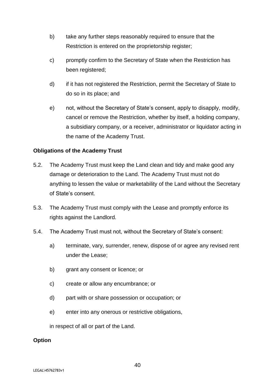- b) take any further steps reasonably required to ensure that the Restriction is entered on the proprietorship register;
- c) promptly confirm to the Secretary of State when the Restriction has been registered;
- d) if it has not registered the Restriction, permit the Secretary of State to do so in its place; and
- e) not, without the Secretary of State's consent, apply to disapply, modify, cancel or remove the Restriction, whether by itself, a holding company, a subsidiary company, or a receiver, administrator or liquidator acting in the name of the Academy Trust.

#### **Obligations of the Academy Trust**

- 5.2. The Academy Trust must keep the Land clean and tidy and make good any damage or deterioration to the Land. The Academy Trust must not do anything to lessen the value or marketability of the Land without the Secretary of State's consent.
- 5.3. The Academy Trust must comply with the Lease and promptly enforce its rights against the Landlord.
- 5.4. The Academy Trust must not, without the Secretary of State's consent:
	- a) terminate, vary, surrender, renew, dispose of or agree any revised rent under the Lease;
	- b) grant any consent or licence; or
	- c) create or allow any encumbrance; or
	- d) part with or share possession or occupation; or
	- e) enter into any onerous or restrictive obligations,

in respect of all or part of the Land.

#### **Option**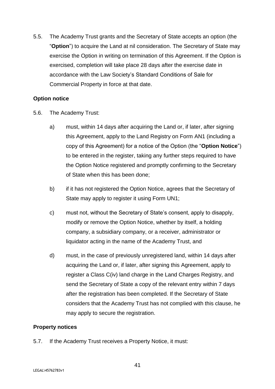5.5. The Academy Trust grants and the Secretary of State accepts an option (the "**Option**") to acquire the Land at nil consideration. The Secretary of State may exercise the Option in writing on termination of this Agreement. If the Option is exercised, completion will take place 28 days after the exercise date in accordance with the Law Society's Standard Conditions of Sale for Commercial Property in force at that date.

#### **Option notice**

- 5.6. The Academy Trust:
	- a) must, within 14 days after acquiring the Land or, if later, after signing this Agreement, apply to the Land Registry on Form AN1 (including a copy of this Agreement) for a notice of the Option (the "**Option Notice**") to be entered in the register, taking any further steps required to have the Option Notice registered and promptly confirming to the Secretary of State when this has been done;
	- b) if it has not registered the Option Notice, agrees that the Secretary of State may apply to register it using Form UN1;
	- c) must not, without the Secretary of State's consent, apply to disapply, modify or remove the Option Notice, whether by itself, a holding company, a subsidiary company, or a receiver, administrator or liquidator acting in the name of the Academy Trust, and
	- d) must, in the case of previously unregistered land, within 14 days after acquiring the Land or, if later, after signing this Agreement, apply to register a Class C(iv) land charge in the Land Charges Registry, and send the Secretary of State a copy of the relevant entry within 7 days after the registration has been completed. If the Secretary of State considers that the Academy Trust has not complied with this clause, he may apply to secure the registration.

# **Property notices**

5.7. If the Academy Trust receives a Property Notice, it must: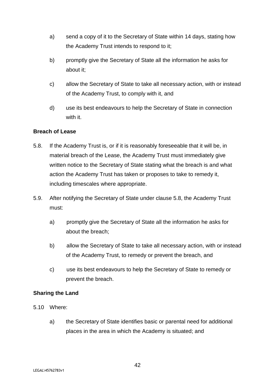- a) send a copy of it to the Secretary of State within 14 days, stating how the Academy Trust intends to respond to it;
- b) promptly give the Secretary of State all the information he asks for about it;
- c) allow the Secretary of State to take all necessary action, with or instead of the Academy Trust, to comply with it, and
- d) use its best endeavours to help the Secretary of State in connection with it.

#### **Breach of Lease**

- 5.8. If the Academy Trust is, or if it is reasonably foreseeable that it will be, in material breach of the Lease, the Academy Trust must immediately give written notice to the Secretary of State stating what the breach is and what action the Academy Trust has taken or proposes to take to remedy it, including timescales where appropriate.
- 5.9. After notifying the Secretary of State under clause 5.8, the Academy Trust must:
	- a) promptly give the Secretary of State all the information he asks for about the breach;
	- b) allow the Secretary of State to take all necessary action, with or instead of the Academy Trust, to remedy or prevent the breach, and
	- c) use its best endeavours to help the Secretary of State to remedy or prevent the breach.

#### **Sharing the Land**

- 5.10 Where:
	- a) the Secretary of State identifies basic or parental need for additional places in the area in which the Academy is situated; and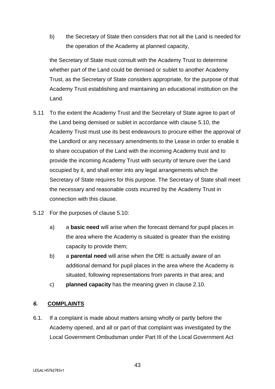b) the Secretary of State then considers that not all the Land is needed for the operation of the Academy at planned capacity,

the Secretary of State must consult with the Academy Trust to determine whether part of the Land could be demised or sublet to another Academy Trust, as the Secretary of State considers appropriate, for the purpose of that Academy Trust establishing and maintaining an educational institution on the Land.

- 5.11 To the extent the Academy Trust and the Secretary of State agree to part of the Land being demised or sublet in accordance with clause 5.10, the Academy Trust must use its best endeavours to procure either the approval of the Landlord or any necessary amendments to the Lease in order to enable it to share occupation of the Land with the incoming Academy trust and to provide the incoming Academy Trust with security of tenure over the Land occupied by it, and shall enter into any legal arrangements which the Secretary of State requires for this purpose. The Secretary of State shall meet the necessary and reasonable costs incurred by the Academy Trust in connection with this clause.
- 5.12 For the purposes of clause 5.10:
	- a) a **basic need** will arise when the forecast demand for pupil places in the area where the Academy is situated is greater than the existing capacity to provide them;
	- b) a **parental need** will arise when the DfE is actually aware of an additional demand for pupil places in the area where the Academy is situated, following representations from parents in that area; and
	- c) **planned capacity** has the meaning given in clause 2.10.

# <span id="page-42-0"></span>*6.* **COMPLAINTS**

6.1. If a complaint is made about matters arising wholly or partly before the Academy opened, and all or part of that complaint was investigated by the Local Government Ombudsman under Part III of the Local Government Act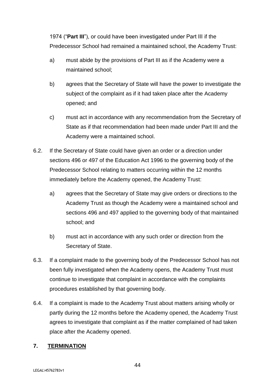1974 ("**Part III**"), or could have been investigated under Part III if the Predecessor School had remained a maintained school, the Academy Trust:

- a) must abide by the provisions of Part III as if the Academy were a maintained school;
- b) agrees that the Secretary of State will have the power to investigate the subject of the complaint as if it had taken place after the Academy opened; and
- c) must act in accordance with any recommendation from the Secretary of State as if that recommendation had been made under Part III and the Academy were a maintained school.
- 6.2. If the Secretary of State could have given an order or a direction under sections 496 or 497 of the Education Act 1996 to the governing body of the Predecessor School relating to matters occurring within the 12 months immediately before the Academy opened, the Academy Trust:
	- a) agrees that the Secretary of State may give orders or directions to the Academy Trust as though the Academy were a maintained school and sections 496 and 497 applied to the governing body of that maintained school; and
	- b) must act in accordance with any such order or direction from the Secretary of State.
- 6.3. If a complaint made to the governing body of the Predecessor School has not been fully investigated when the Academy opens, the Academy Trust must continue to investigate that complaint in accordance with the complaints procedures established by that governing body.
- 6.4. If a complaint is made to the Academy Trust about matters arising wholly or partly during the 12 months before the Academy opened, the Academy Trust agrees to investigate that complaint as if the matter complained of had taken place after the Academy opened.

# <span id="page-43-0"></span>**7. TERMINATION**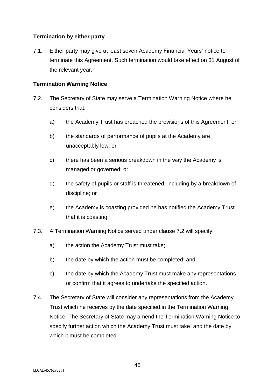# <span id="page-44-0"></span>**Termination by either party**

7.1. Either party may give at least seven Academy Financial Years' notice to terminate this Agreement. Such termination would take effect on 31 August of the relevant year.

## <span id="page-44-1"></span>**Termination Warning Notice**

- 7.2. The Secretary of State may serve a Termination Warning Notice where he considers that:
	- a) the Academy Trust has breached the provisions of this Agreement; or
	- b) the standards of performance of pupils at the Academy are unacceptably low; or
	- c) there has been a serious breakdown in the way the Academy is managed or governed; or
	- d) the safety of pupils or staff is threatened, including by a breakdown of discipline; or
	- e) the Academy is coasting provided he has notified the Academy Trust that it is coasting.
- 7.3. A Termination Warning Notice served under clause 7.2 will specify:
	- a) the action the Academy Trust must take;
	- b) the date by which the action must be completed; and
	- c) the date by which the Academy Trust must make any representations, or confirm that it agrees to undertake the specified action.
- 7.4. The Secretary of State will consider any representations from the Academy Trust which he receives by the date specified in the Termination Warning Notice. The Secretary of State may amend the Termination Warning Notice to specify further action which the Academy Trust must take, and the date by which it must be completed.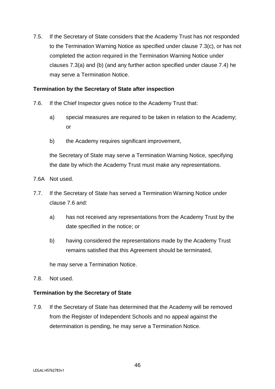7.5. If the Secretary of State considers that the Academy Trust has not responded to the Termination Warning Notice as specified under clause 7.3(c), or has not completed the action required in the Termination Warning Notice under clauses 7.3(a) and (b) (and any further action specified under clause 7.4) he may serve a Termination Notice.

#### <span id="page-45-0"></span>**Termination by the Secretary of State after inspection**

- 7.6. If the Chief Inspector gives notice to the Academy Trust that:
	- a) special measures are required to be taken in relation to the Academy; or
	- b) the Academy requires significant improvement,

the Secretary of State may serve a Termination Warning Notice, specifying the date by which the Academy Trust must make any representations.

- 7.6A Not used.
- 7.7. If the Secretary of State has served a Termination Warning Notice under clause 7.6 and:
	- a) has not received any representations from the Academy Trust by the date specified in the notice; or
	- b) having considered the representations made by the Academy Trust remains satisfied that this Agreement should be terminated,

he may serve a Termination Notice.

7.8. Not used.

#### <span id="page-45-1"></span>**Termination by the Secretary of State**

7.9. If the Secretary of State has determined that the Academy will be removed from the Register of Independent Schools and no appeal against the determination is pending, he may serve a Termination Notice.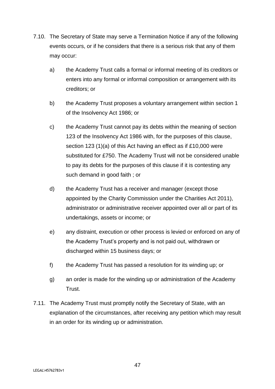- 7.10. The Secretary of State may serve a Termination Notice if any of the following events occurs, or if he considers that there is a serious risk that any of them may occur:
	- a) the Academy Trust calls a formal or informal meeting of its creditors or enters into any formal or informal composition or arrangement with its creditors; or
	- b) the Academy Trust proposes a voluntary arrangement within section 1 of the Insolvency Act 1986; or
	- c) the Academy Trust cannot pay its debts within the meaning of section 123 of the Insolvency Act 1986 with, for the purposes of this clause, section 123 (1)(a) of this Act having an effect as if £10,000 were substituted for £750. The Academy Trust will not be considered unable to pay its debts for the purposes of this clause if it is contesting any such demand in good faith ; or
	- d) the Academy Trust has a receiver and manager (except those appointed by the Charity Commission under the Charities Act 2011), administrator or administrative receiver appointed over all or part of its undertakings, assets or income; or
	- e) any distraint, execution or other process is levied or enforced on any of the Academy Trust's property and is not paid out, withdrawn or discharged within 15 business days; or
	- f) the Academy Trust has passed a resolution for its winding up; or
	- g) an order is made for the winding up or administration of the Academy Trust.
- 7.11. The Academy Trust must promptly notify the Secretary of State, with an explanation of the circumstances, after receiving any petition which may result in an order for its winding up or administration.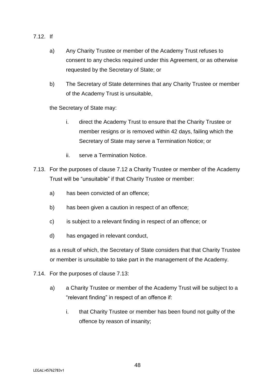- 7.12. If
	- a) Any Charity Trustee or member of the Academy Trust refuses to consent to any checks required under this Agreement, or as otherwise requested by the Secretary of State; or
	- b) The Secretary of State determines that any Charity Trustee or member of the Academy Trust is unsuitable,

the Secretary of State may:

- i. direct the Academy Trust to ensure that the Charity Trustee or member resigns or is removed within 42 days, failing which the Secretary of State may serve a Termination Notice; or
- ii. serve a Termination Notice.
- 7.13. For the purposes of clause 7.12 a Charity Trustee or member of the Academy Trust will be "unsuitable" if that Charity Trustee or member:
	- a) has been convicted of an offence;
	- b) has been given a caution in respect of an offence;
	- c) is subject to a relevant finding in respect of an offence; or
	- d) has engaged in relevant conduct,

as a result of which, the Secretary of State considers that that Charity Trustee or member is unsuitable to take part in the management of the Academy.

- 7.14. For the purposes of clause 7.13:
	- a) a Charity Trustee or member of the Academy Trust will be subject to a "relevant finding" in respect of an offence if:
		- i. that Charity Trustee or member has been found not guilty of the offence by reason of insanity;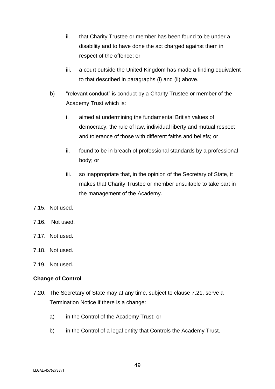- ii. that Charity Trustee or member has been found to be under a disability and to have done the act charged against them in respect of the offence; or
- iii. a court outside the United Kingdom has made a finding equivalent to that described in paragraphs (i) and (ii) above.
- b) "relevant conduct" is conduct by a Charity Trustee or member of the Academy Trust which is:
	- i. aimed at undermining the fundamental British values of democracy, the rule of law, individual liberty and mutual respect and tolerance of those with different faiths and beliefs; or
	- ii. found to be in breach of professional standards by a professional body; or
	- iii. so inappropriate that, in the opinion of the Secretary of State, it makes that Charity Trustee or member unsuitable to take part in the management of the Academy.
- 7.15. Not used.
- 7.16. Not used.
- 7.17. Not used.
- 7.18. Not used.
- 7.19. Not used.

#### <span id="page-48-0"></span>**Change of Control**

- 7.20. The Secretary of State may at any time, subject to clause 7.21, serve a Termination Notice if there is a change:
	- a) in the Control of the Academy Trust; or
	- b) in the Control of a legal entity that Controls the Academy Trust.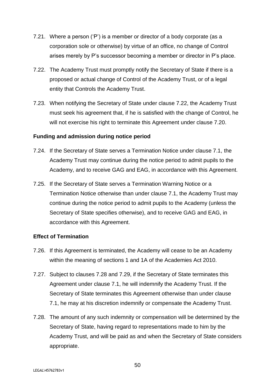- 7.21. Where a person ('P') is a member or director of a body corporate (as a corporation sole or otherwise) by virtue of an office, no change of Control arises merely by P's successor becoming a member or director in P's place.
- 7.22. The Academy Trust must promptly notify the Secretary of State if there is a proposed or actual change of Control of the Academy Trust, or of a legal entity that Controls the Academy Trust.
- 7.23. When notifying the Secretary of State under clause 7.22, the Academy Trust must seek his agreement that, if he is satisfied with the change of Control, he will not exercise his right to terminate this Agreement under clause 7.20.

#### <span id="page-49-0"></span>**Funding and admission during notice period**

- 7.24. If the Secretary of State serves a Termination Notice under clause 7.1, the Academy Trust may continue during the notice period to admit pupils to the Academy, and to receive GAG and EAG, in accordance with this Agreement.
- 7.25. If the Secretary of State serves a Termination Warning Notice or a Termination Notice otherwise than under clause 7.1, the Academy Trust may continue during the notice period to admit pupils to the Academy (unless the Secretary of State specifies otherwise), and to receive GAG and EAG, in accordance with this Agreement.

#### <span id="page-49-1"></span>**Effect of Termination**

- 7.26. If this Agreement is terminated, the Academy will cease to be an Academy within the meaning of sections 1 and 1A of the Academies Act 2010.
- 7.27. Subject to clauses 7.28 and 7.29, if the Secretary of State terminates this Agreement under clause 7.1, he will indemnify the Academy Trust. If the Secretary of State terminates this Agreement otherwise than under clause 7.1, he may at his discretion indemnify or compensate the Academy Trust.
- 7.28. The amount of any such indemnity or compensation will be determined by the Secretary of State, having regard to representations made to him by the Academy Trust, and will be paid as and when the Secretary of State considers appropriate.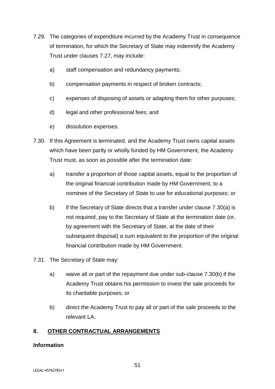- 7.29. The categories of expenditure incurred by the Academy Trust in consequence of termination, for which the Secretary of State may indemnify the Academy Trust under clauses 7.27, may include:
	- a) staff compensation and redundancy payments;
	- b) compensation payments in respect of broken contracts;
	- c) expenses of disposing of assets or adapting them for other purposes;
	- d) legal and other professional fees; and
	- e) dissolution expenses.
- 7.30. If this Agreement is terminated, and the Academy Trust owns capital assets which have been partly or wholly funded by HM Government, the Academy Trust must, as soon as possible after the termination date:
	- a) transfer a proportion of those capital assets, equal to the proportion of the original financial contribution made by HM Government, to a nominee of the Secretary of State to use for educational purposes; or
	- b) if the Secretary of State directs that a transfer under clause 7.30(a) is not required, pay to the Secretary of State at the termination date (or, by agreement with the Secretary of State, at the date of their subsequent disposal) a sum equivalent to the proportion of the original financial contribution made by HM Government.
- 7.31. The Secretary of State may:
	- a) waive all or part of the repayment due under sub-clause 7.30(b) if the Academy Trust obtains his permission to invest the sale proceeds for its charitable purposes; or
	- b) direct the Academy Trust to pay all or part of the sale proceeds to the relevant LA.

# <span id="page-50-0"></span>**8. OTHER CONTRACTUAL ARRANGEMENTS**

#### <span id="page-50-1"></span>**Information**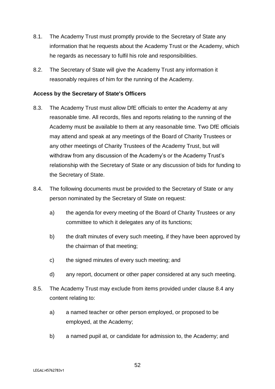- 8.1. The Academy Trust must promptly provide to the Secretary of State any information that he requests about the Academy Trust or the Academy, which he regards as necessary to fulfil his role and responsibilities.
- 8.2. The Secretary of State will give the Academy Trust any information it reasonably requires of him for the running of the Academy.

#### <span id="page-51-0"></span>**Access by the Secretary of State's Officers**

- 8.3. The Academy Trust must allow DfE officials to enter the Academy at any reasonable time. All records, files and reports relating to the running of the Academy must be available to them at any reasonable time. Two DfE officials may attend and speak at any meetings of the Board of Charity Trustees or any other meetings of Charity Trustees of the Academy Trust, but will withdraw from any discussion of the Academy's or the Academy Trust's relationship with the Secretary of State or any discussion of bids for funding to the Secretary of State.
- 8.4. The following documents must be provided to the Secretary of State or any person nominated by the Secretary of State on request:
	- a) the agenda for every meeting of the Board of Charity Trustees or any committee to which it delegates any of its functions;
	- b) the draft minutes of every such meeting, if they have been approved by the chairman of that meeting;
	- c) the signed minutes of every such meeting; and
	- d) any report, document or other paper considered at any such meeting.
- 8.5. The Academy Trust may exclude from items provided under clause 8.4 any content relating to:
	- a) a named teacher or other person employed, or proposed to be employed, at the Academy;
	- b) a named pupil at, or candidate for admission to, the Academy; and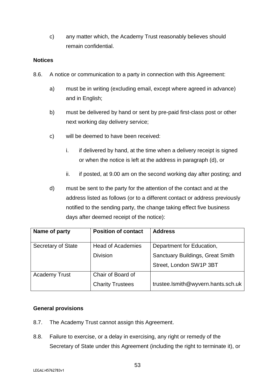c) any matter which, the Academy Trust reasonably believes should remain confidential.

#### <span id="page-52-0"></span>**Notices**

- 8.6. A notice or communication to a party in connection with this Agreement:
	- a) must be in writing (excluding email, except where agreed in advance) and in English;
	- b) must be delivered by hand or sent by pre-paid first-class post or other next working day delivery service;
	- c) will be deemed to have been received:
		- i. if delivered by hand, at the time when a delivery receipt is signed or when the notice is left at the address in paragraph (d), or
		- ii. if posted, at 9.00 am on the second working day after posting; and
	- d) must be sent to the party for the attention of the contact and at the address listed as follows (or to a different contact or address previously notified to the sending party, the change taking effect five business days after deemed receipt of the notice):

| Name of party             | <b>Position of contact</b> | <b>Address</b>                          |  |
|---------------------------|----------------------------|-----------------------------------------|--|
| <b>Secretary of State</b> | <b>Head of Academies</b>   | Department for Education,               |  |
|                           | <b>Division</b>            | <b>Sanctuary Buildings, Great Smith</b> |  |
|                           |                            | Street, London SW1P 3BT                 |  |
| <b>Academy Trust</b>      | Chair of Board of          |                                         |  |
|                           | <b>Charity Trustees</b>    | trustee.lsmith@wyvern.hants.sch.uk      |  |

# <span id="page-52-1"></span>**General provisions**

- 8.7. The Academy Trust cannot assign this Agreement.
- 8.8. Failure to exercise, or a delay in exercising, any right or remedy of the Secretary of State under this Agreement (including the right to terminate it), or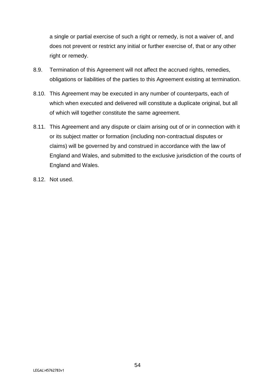a single or partial exercise of such a right or remedy, is not a waiver of, and does not prevent or restrict any initial or further exercise of, that or any other right or remedy.

- 8.9. Termination of this Agreement will not affect the accrued rights, remedies, obligations or liabilities of the parties to this Agreement existing at termination.
- 8.10. This Agreement may be executed in any number of counterparts, each of which when executed and delivered will constitute a duplicate original, but all of which will together constitute the same agreement.
- 8.11. This Agreement and any dispute or claim arising out of or in connection with it or its subject matter or formation (including non-contractual disputes or claims) will be governed by and construed in accordance with the law of England and Wales, and submitted to the exclusive jurisdiction of the courts of England and Wales.
- 8.12. Not used.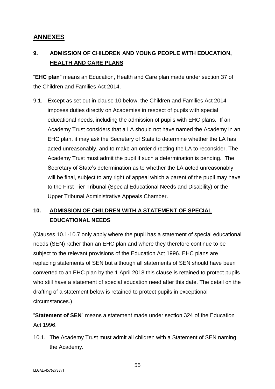# <span id="page-54-0"></span>**ANNEXES**

# <span id="page-54-1"></span>**9. ADMISSION OF CHILDREN AND YOUNG PEOPLE WITH EDUCATION, HEALTH AND CARE PLANS**

"**EHC plan**" means an Education, Health and Care plan made under section 37 of the Children and Families Act 2014.

9.1. Except as set out in clause 10 below, the Children and Families Act 2014 imposes duties directly on Academies in respect of pupils with special educational needs, including the admission of pupils with EHC plans. If an Academy Trust considers that a LA should not have named the Academy in an EHC plan, it may ask the Secretary of State to determine whether the LA has acted unreasonably, and to make an order directing the LA to reconsider. The Academy Trust must admit the pupil if such a determination is pending. The Secretary of State's determination as to whether the LA acted unreasonably will be final, subject to any right of appeal which a parent of the pupil may have to the First Tier Tribunal (Special Educational Needs and Disability) or the Upper Tribunal Administrative Appeals Chamber.

# <span id="page-54-2"></span>**10. ADMISSION OF CHILDREN WITH A STATEMENT OF SPECIAL EDUCATIONAL NEEDS**

(Clauses 10.1-10.7 only apply where the pupil has a statement of special educational needs (SEN) rather than an EHC plan and where they therefore continue to be subject to the relevant provisions of the Education Act 1996. EHC plans are replacing statements of SEN but although all statements of SEN should have been converted to an EHC plan by the 1 April 2018 this clause is retained to protect pupils who still have a statement of special education need after this date. The detail on the drafting of a statement below is retained to protect pupils in exceptional circumstances.)

"**Statement of SEN**" means a statement made under section 324 of the Education Act 1996.

10.1. The Academy Trust must admit all children with a Statement of SEN naming the Academy.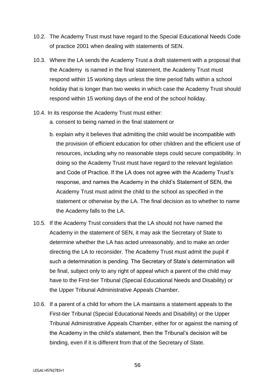- 10.2. The Academy Trust must have regard to the Special Educational Needs Code of practice 2001 when dealing with statements of SEN.
- 10.3. Where the LA sends the Academy Trust a draft statement with a proposal that the Academy is named in the final statement, the Academy Trust must respond within 15 working days unless the time period falls within a school holiday that is longer than two weeks in which case the Academy Trust should respond within 15 working days of the end of the school holiday.
- 10.4. In its response the Academy Trust must either:
	- a. consent to being named in the final statement or
	- b. explain why it believes that admitting the child would be incompatible with the provision of efficient education for other children and the efficient use of resources, including why no reasonable steps could secure compatibility. In doing so the Academy Trust must have regard to the relevant legislation and Code of Practice. If the LA does not agree with the Academy Trust's response, and names the Academy in the child's Statement of SEN, the Academy Trust must admit the child to the school as specified in the statement or otherwise by the LA. The final decision as to whether to name the Academy falls to the LA.
- 10.5. If the Academy Trust considers that the LA should not have named the Academy in the statement of SEN, it may ask the Secretary of State to determine whether the LA has acted unreasonably, and to make an order directing the LA to reconsider. The Academy Trust must admit the pupil if such a determination is pending. The Secretary of State's determination will be final, subject only to any right of appeal which a parent of the child may have to the First-tier Tribunal (Special Educational Needs and Disability) or the Upper Tribunal Administrative Appeals Chamber.
- 10.6. If a parent of a child for whom the LA maintains a statement appeals to the First-tier Tribunal (Special Educational Needs and Disability) or the Upper Tribunal Administrative Appeals Chamber, either for or against the naming of the Academy in the child's statement, then the Tribunal's decision will be binding, even if it is different from that of the Secretary of State.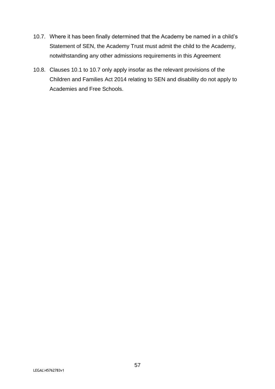- 10.7. Where it has been finally determined that the Academy be named in a child's Statement of SEN, the Academy Trust must admit the child to the Academy, notwithstanding any other admissions requirements in this Agreement
- 10.8. Clauses 10.1 to 10.7 only apply insofar as the relevant provisions of the Children and Families Act 2014 relating to SEN and disability do not apply to Academies and Free Schools.